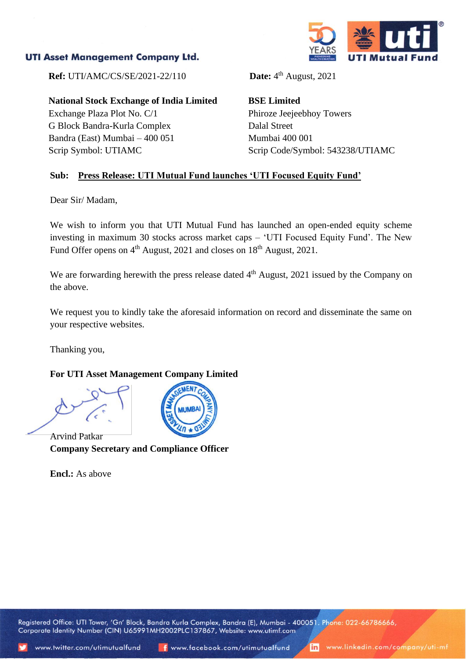## **UTI Asset Management Company Ltd.**



**Ref:** UTI/AMC/CS/SE/2021-22/110

**National Stock Exchange of India Limited**

Exchange Plaza Plot No. C/1 G Block Bandra-Kurla Complex Bandra (East) Mumbai – 400 051 Scrip Symbol: UTIAMC

Date:  $4<sup>th</sup>$  August, 2021

**BSE Limited** Phiroze Jeejeebhoy Towers Dalal Street Mumbai 400 001 Scrip Code/Symbol: 543238/UTIAMC

### **Sub: Press Release: UTI Mutual Fund launches 'UTI Focused Equity Fund'**

Dear Sir/ Madam,

We wish to inform you that UTI Mutual Fund has launched an open-ended equity scheme investing in maximum 30 stocks across market caps – 'UTI Focused Equity Fund'. The New Fund Offer opens on 4<sup>th</sup> August, 2021 and closes on 18<sup>th</sup> August, 2021.

We are forwarding herewith the press release dated 4<sup>th</sup> August, 2021 issued by the Company on the above.

We request you to kindly take the aforesaid information on record and disseminate the same on your respective websites.

Thanking you,

## **For UTI Asset Management Company Limited**



Arvind Patkar **Company Secretary and Compliance Officer**

**Encl.:** As above

Registered Office: UTI Tower, 'Gn' Block, Bandra Kurla Complex, Bandra (E), Mumbai - 400051. Phone: 022-66786666, Corporate Identity Number (CIN) U65991MH2002PLC137867, Website: www.utimf.com

in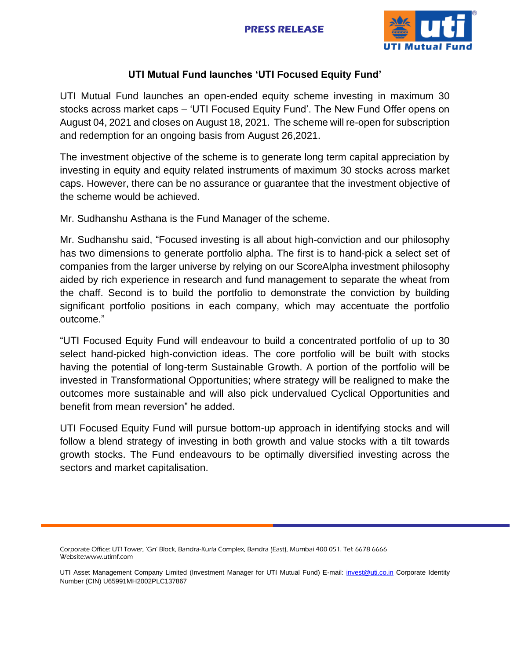

# **UTI Mutual Fund launches 'UTI Focused Equity Fund'**

UTI Mutual Fund launches an open-ended equity scheme investing in maximum 30 stocks across market caps – 'UTI Focused Equity Fund'. The New Fund Offer opens on August 04, 2021 and closes on August 18, 2021. The scheme will re-open for subscription and redemption for an ongoing basis from August 26,2021.

The investment objective of the scheme is to generate long term capital appreciation by investing in equity and equity related instruments of maximum 30 stocks across market caps. However, there can be no assurance or guarantee that the investment objective of the scheme would be achieved.

Mr. Sudhanshu Asthana is the Fund Manager of the scheme.

Mr. Sudhanshu said, "Focused investing is all about high-conviction and our philosophy has two dimensions to generate portfolio alpha. The first is to hand-pick a select set of companies from the larger universe by relying on our ScoreAlpha investment philosophy aided by rich experience in research and fund management to separate the wheat from the chaff. Second is to build the portfolio to demonstrate the conviction by building significant portfolio positions in each company, which may accentuate the portfolio outcome."

"UTI Focused Equity Fund will endeavour to build a concentrated portfolio of up to 30 select hand-picked high-conviction ideas. The core portfolio will be built with stocks having the potential of long-term Sustainable Growth. A portion of the portfolio will be invested in Transformational Opportunities; where strategy will be realigned to make the outcomes more sustainable and will also pick undervalued Cyclical Opportunities and benefit from mean reversion" he added.

UTI Focused Equity Fund will pursue bottom-up approach in identifying stocks and will follow a blend strategy of investing in both growth and value stocks with a tilt towards growth stocks. The Fund endeavours to be optimally diversified investing across the sectors and market capitalisation.

Corporate Office: UTI Tower, 'Gn' Block, Bandra-Kurla Complex, Bandra (East), Mumbai 400 051. Tel: 6678 6666 Website:www.utimf.com

UTI Asset Management Company Limited (Investment Manager for UTI Mutual Fund) E-mail: [invest@uti.co.in](mailto:invest@uti.co.in) Corporate Identity Number (CIN) U65991MH2002PLC137867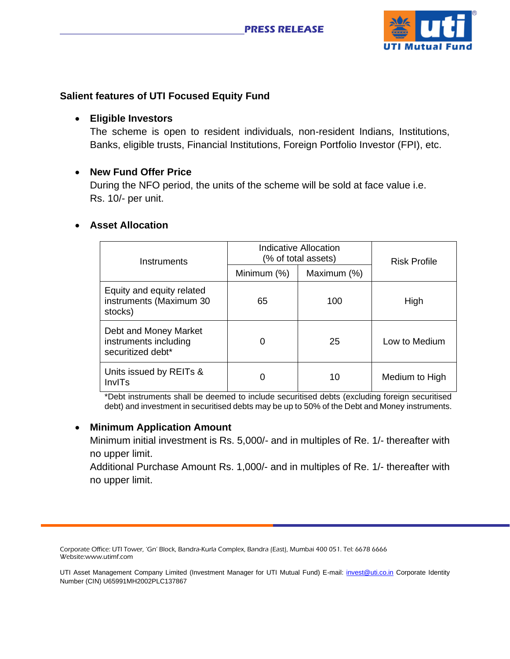

## **Salient features of UTI Focused Equity Fund**

## • **Eligible Investors**

The scheme is open to resident individuals, non-resident Indians, Institutions, Banks, eligible trusts, Financial Institutions, Foreign Portfolio Investor (FPI), etc.

## • **New Fund Offer Price**

During the NFO period, the units of the scheme will be sold at face value i.e. Rs. 10/- per unit.

### • **Asset Allocation**

| Instruments                                                         | Indicative Allocation<br>(% of total assets) |             | <b>Risk Profile</b> |
|---------------------------------------------------------------------|----------------------------------------------|-------------|---------------------|
|                                                                     | Minimum (%)                                  | Maximum (%) |                     |
| Equity and equity related<br>instruments (Maximum 30<br>stocks)     | 65                                           | 100         | High                |
| Debt and Money Market<br>instruments including<br>securitized debt* | 0                                            | 25          | Low to Medium       |
| Units issued by REITs &<br>InvITs                                   | 0                                            | 10          | Medium to High      |

\*Debt instruments shall be deemed to include securitised debts (excluding foreign securitised debt) and investment in securitised debts may be up to 50% of the Debt and Money instruments.

### • **Minimum Application Amount**

Minimum initial investment is Rs. 5,000/- and in multiples of Re. 1/- thereafter with no upper limit.

Additional Purchase Amount Rs. 1,000/- and in multiples of Re. 1/- thereafter with no upper limit.

Corporate Office: UTI Tower, 'Gn' Block, Bandra-Kurla Complex, Bandra (East), Mumbai 400 051. Tel: 6678 6666 Website:www.utimf.com

UTI Asset Management Company Limited (Investment Manager for UTI Mutual Fund) E-mail: [invest@uti.co.in](mailto:invest@uti.co.in) Corporate Identity Number (CIN) U65991MH2002PLC137867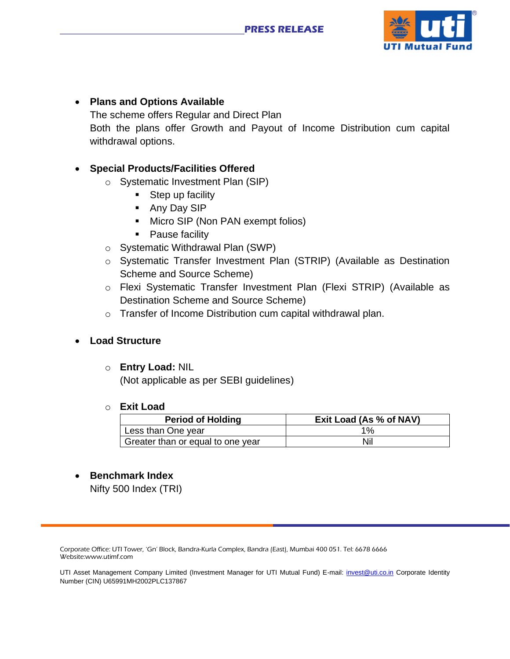

# • **Plans and Options Available** The scheme offers Regular and Direct Plan Both the plans offer Growth and Payout of Income Distribution cum capital withdrawal options.

# • **Special Products/Facilities Offered**

- o Systematic Investment Plan (SIP)
	- Step up facility
	- Any Day SIP
	- Micro SIP (Non PAN exempt folios)
	- Pause facility
- o Systematic Withdrawal Plan (SWP)
- o Systematic Transfer Investment Plan (STRIP) (Available as Destination Scheme and Source Scheme)
- o Flexi Systematic Transfer Investment Plan (Flexi STRIP) (Available as Destination Scheme and Source Scheme)
- o Transfer of Income Distribution cum capital withdrawal plan.

### • **Load Structure**

### o **Entry Load:** NIL

(Not applicable as per SEBI guidelines)

### o **Exit Load**

| <b>Period of Holding</b>          | Exit Load (As % of NAV) |  |
|-----------------------------------|-------------------------|--|
| Less than One year                | $1\%$                   |  |
| Greater than or equal to one year | Nil                     |  |

# • **Benchmark Index**

Nifty 500 Index (TRI)

Corporate Office: UTI Tower, 'Gn' Block, Bandra-Kurla Complex, Bandra (East), Mumbai 400 051. Tel: 6678 6666 Website:www.utimf.com

UTI Asset Management Company Limited (Investment Manager for UTI Mutual Fund) E-mail: [invest@uti.co.in](mailto:invest@uti.co.in) Corporate Identity Number (CIN) U65991MH2002PLC137867